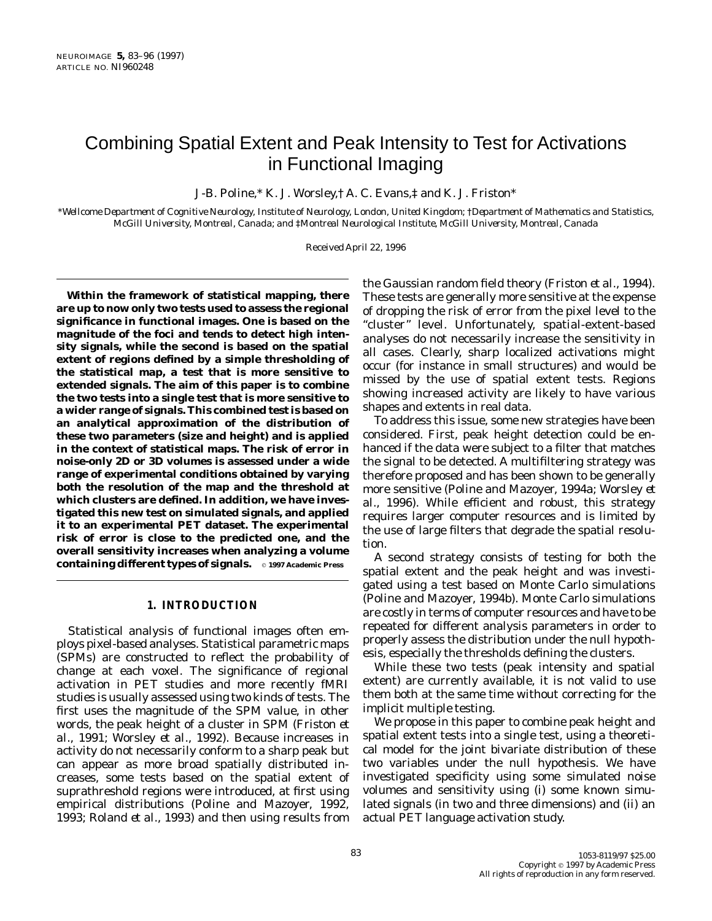# Combining Spatial Extent and Peak Intensity to Test for Activations in Functional Imaging

J-B. Poline,\* K. J. Worsley,† A. C. Evans,‡ and K. J. Friston\*

\**Wellcome Department of Cognitive Neurology, Institute of Neurology, London, United Kingdom;* †*Department of Mathematics and Statistics, McGill University, Montreal, Canada; and* ‡*Montreal Neurological Institute, McGill University, Montreal, Canada*

Received April 22, 1996

**Within the framework of statistical mapping, there are up to now only two tests used to assess the regional significance in functional images. One is based on the magnitude of the foci and tends to detect high intensity signals, while the second is based on the spatial extent of regions defined by a simple thresholding of the statistical map, a test that is more sensitive to extended signals. The aim of this paper is to combine the two tests into a single test that is more sensitive to a wider range of signals. This combined test is based on an analytical approximation of the distribution of these two parameters (size and height) and is applied in the context of statistical maps. The risk of error in noise-only 2D or 3D volumes is assessed under a wide range of experimental conditions obtained by varying both the resolution of the map and the threshold at which clusters are defined. In addition, we have investigated this new test on simulated signals, and applied it to an experimental PET dataset. The experimental risk of error is close to the predicted one, and the overall sensitivity increases when analyzing a volume containing different types of signals. 0 1997 Academic Press** 

#### **1. INTRODUCTION**

Statistical analysis of functional images often employs pixel-based analyses. Statistical parametric maps (SPMs) are constructed to reflect the probability of change at each voxel. The significance of regional activation in PET studies and more recently fMRI studies is usually assessed using two kinds of tests. The first uses the magnitude of the SPM value, in other words, the peak height of a cluster in SPM (Friston *et al.,* 1991; Worsley *et al.,* 1992). Because increases in activity do not necessarily conform to a sharp peak but can appear as more broad spatially distributed increases, some tests based on the spatial extent of suprathreshold regions were introduced, at first using empirical distributions (Poline and Mazoyer, 1992, 1993; Roland *et al.,* 1993) and then using results from the Gaussian random field theory (Friston *et al.,* 1994). These tests are generally more sensitive at the expense of dropping the risk of error from the pixel level to the "cluster" level. Unfortunately, spatial-extent-based analyses do not necessarily increase the sensitivity in all cases. Clearly, sharp localized activations might occur (for instance in small structures) and would be missed by the use of spatial extent tests. Regions showing increased activity are likely to have various shapes and extents in real data.

To address this issue, some new strategies have been considered. First, peak height detection could be enhanced if the data were subject to a filter that matches the signal to be detected. A multifiltering strategy was therefore proposed and has been shown to be generally more sensitive (Poline and Mazoyer, 1994a; Worsley *et al.,* 1996). While efficient and robust, this strategy requires larger computer resources and is limited by the use of large filters that degrade the spatial resolution.

A second strategy consists of testing for both the spatial extent and the peak height and was investigated using a test based on Monte Carlo simulations (Poline and Mazoyer, 1994b). Monte Carlo simulations are costly in terms of computer resources and have to be repeated for different analysis parameters in order to properly assess the distribution under the null hypothesis, especially the thresholds defining the clusters.

While these two tests (peak intensity and spatial extent) are currently available, it is not valid to use them both at the same time without correcting for the implicit multiple testing.

We propose in this paper to combine peak height and spatial extent tests into a single test, using a theoretical model for the joint bivariate distribution of these two variables under the null hypothesis. We have investigated specificity using some simulated noise volumes and sensitivity using (i) some known simulated signals (in two and three dimensions) and (ii) an actual PET language activation study.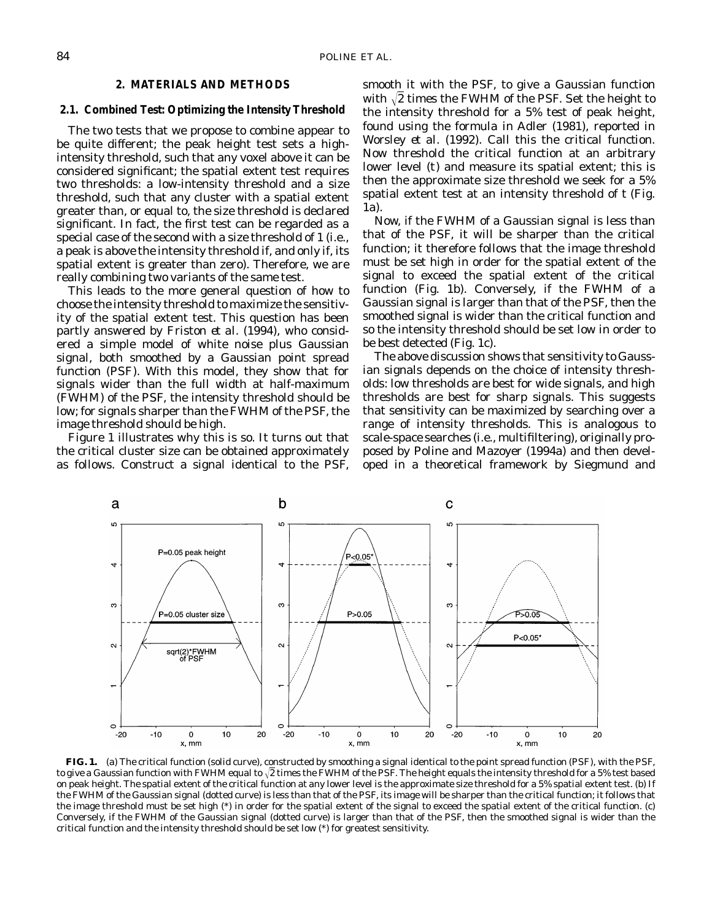#### **2. MATERIALS AND METHODS**

#### **2.1. Combined Test: Optimizing the Intensity Threshold**

The two tests that we propose to combine appear to be quite different; the peak height test sets a highintensity threshold, such that any voxel above it can be considered significant; the spatial extent test requires two thresholds: a low-intensity threshold and a size threshold, such that any cluster with a spatial extent greater than, or equal to, the size threshold is declared significant. In fact, the first test can be regarded as a special case of the second with a size threshold of 1 (i.e., a peak is above the intensity threshold if, and only if, its spatial extent is greater than zero). Therefore, we are really combining two variants of the same test.

This leads to the more general question of how to choose the intensity threshold to maximize the sensitivity of the spatial extent test. This question has been partly answered by Friston *et al.* (1994), who considered a simple model of white noise plus Gaussian signal, both smoothed by a Gaussian point spread function (PSF). With this model, they show that for signals wider than the full width at half-maximum (FWHM) of the PSF, the intensity threshold should be low; for signals sharper than the FWHM of the PSF, the image threshold should be high.

Figure 1 illustrates why this is so. It turns out that the critical cluster size can be obtained approximately as follows. Construct a signal identical to the PSF,

smooth it with the PSF, to give a Gaussian function with  $\sqrt{2}$  times the FWHM of the PSF. Set the height to the intensity threshold for a 5% test of peak height, found using the formula in Adler (1981), reported in Worsley *et al.* (1992). Call this the *critical function.* Now threshold the critical function at an arbitrary lower level (*t*) and measure its spatial extent; this is then the approximate size threshold we seek for a 5% spatial extent test at an intensity threshold of *t* (Fig. 1a).

Now, if the FWHM of a Gaussian signal is less than that of the PSF, it will be sharper than the critical function; it therefore follows that the image threshold must be set high in order for the spatial extent of the signal to exceed the spatial extent of the critical function (Fig. 1b). Conversely, if the FWHM of a Gaussian signal is larger than that of the PSF, then the smoothed signal is wider than the critical function and so the intensity threshold should be set low in order to be best detected (Fig. 1c).

The above discussion shows that sensitivity to Gaussian signals depends on the choice of intensity thresholds: low thresholds are best for wide signals, and high thresholds are best for sharp signals. This suggests that sensitivity can be maximized by searching over a range of intensity thresholds. This is analogous to scale-space searches (i.e., multifiltering), originally proposed by Poline and Mazoyer (1994a) and then developed in a theoretical framework by Siegmund and



**FIG. 1.** (a) The critical function (solid curve), constructed by smoothing a signal identical to the point spread function (PSF), with the PSF, to give a Gaussian function with FWHM equal to  $\sqrt{2}$  times the FWHM of the PSF. The height equals the intensity threshold for a 5% test based on peak height. The spatial extent of the critical function at any lower level is the approximate size threshold for a 5% spatial extent test. (b) If the FWHM of the Gaussian signal (dotted curve) is less than that of the PSF, its image will be sharper than the critical function; it follows that the image threshold must be set high (\*) in order for the spatial extent of the signal to exceed the spatial extent of the critical function. (c) Conversely, if the FWHM of the Gaussian signal (dotted curve) is larger than that of the PSF, then the smoothed signal is wider than the critical function and the intensity threshold should be set low (\*) for greatest sensitivity.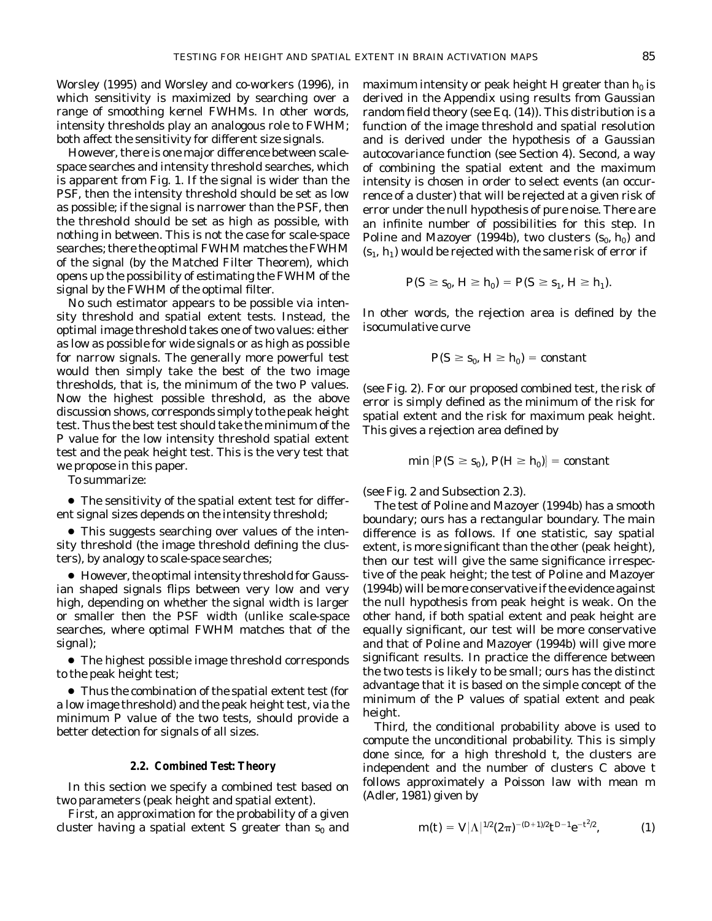Worsley (1995) and Worsley and co-workers (1996), in which sensitivity is maximized by searching over a range of smoothing kernel FWHMs. In other words, intensity thresholds play an analogous role to FWHM; both affect the sensitivity for different size signals.

However, there is one major difference between scalespace searches and intensity threshold searches, which is apparent from Fig. 1. If the signal is wider than the PSF, then the intensity threshold should be set as low as possible; if the signal is narrower than the PSF, then the threshold should be set as high as possible, with nothing in between. This is not the case for scale-space searches; there the optimal FWHM matches the FWHM of the signal (by the Matched Filter Theorem), which opens up the possibility of estimating the FWHM of the signal by the FWHM of the optimal filter.

No such estimator appears to be possible via intensity threshold and spatial extent tests. Instead, the optimal image threshold takes one of two values: either as low as possible for wide signals or as high as possible for narrow signals. The generally more powerful test would then simply take the best of the two image thresholds, that is, the minimum of the two *P* values. Now the highest possible threshold, as the above discussion shows, corresponds simply to the peak height test. Thus the best test should take the minimum of the *P* value for the low intensity threshold spatial extent test and the peak height test. This is the very test that we propose in this paper.

To summarize:

• The sensitivity of the spatial extent test for different signal sizes depends on the intensity threshold;

• This suggests searching over values of the intensity threshold (the image threshold defining the clusters), by analogy to scale-space searches;

 $\bullet$  However, the optimal intensity threshold for Gaussian shaped signals flips between very low and very high, depending on whether the signal width is larger or smaller then the PSF width (unlike scale-space searches, where optimal FWHM matches that of the signal);

• The highest possible image threshold corresponds to the peak height test;

• Thus the combination of the spatial extent test (for a low image threshold) and the peak height test, via the minimum *P* value of the two tests, should provide a better detection for signals of all sizes.

## **2.2. Combined Test: Theory**

In this section we specify a combined test based on two parameters (peak height and spatial extent).

First, an approximation for the probability of a given cluster having a spatial extent  $S$  greater than  $s<sub>0</sub>$  and maximum intensity or peak height  $H$  greater than  $h_0$  is derived in the Appendix using results from Gaussian random field theory (see Eq. (14)). This distribution is a function of the image threshold and spatial resolution and is derived under the hypothesis of a Gaussian autocovariance function (see Section 4). Second, a way of combining the spatial extent and the maximum intensity is chosen in order to select events (an occurrence of a cluster) that will be rejected at a given risk of error under the null hypothesis of pure noise. There are an infinite number of possibilities for this step. In Poline and Mazoyer (1994b), two clusters  $(s_0, h_0)$  and  $(s_1, h_1)$  would be rejected with the same risk of error if

$$
P(S \ge s_0, H \ge h_0) = P(S \ge s_1, H \ge h_1).
$$

In other words, the rejection area is defined by the isocumulative curve

$$
P(S \geq s_0, H \geq h_0) = constant
$$

(see Fig. 2). For our proposed combined test, the risk of error is simply defined as the minimum of the risk for spatial extent and the risk for maximum peak height. This gives a rejection area defined by

$$
\min\{P(S\geq s_0), P(H\geq h_0)\}=\text{constant}
$$

(see Fig. 2 and Subsection 2.3).

The test of Poline and Mazoyer (1994b) has a smooth boundary; ours has a rectangular boundary. The main difference is as follows. If one statistic, say spatial extent, is more significant than the other (peak height), then our test will give the same significance irrespective of the peak height; the test of Poline and Mazoyer (1994b) will be more conservative if the evidence against the null hypothesis from peak height is weak. On the other hand, if both spatial extent and peak height are equally significant, our test will be more conservative and that of Poline and Mazoyer (1994b) will give more significant results. In practice the difference between the two tests is likely to be small; ours has the distinct advantage that it is based on the simple concept of the minimum of the *P* values of spatial extent and peak height.

Third, the conditional probability above is used to compute the unconditional probability. This is simply done since, for a high threshold *t*, the clusters are independent and the number of clusters *C* above *t* follows approximately a Poisson law with mean *m* (Adler, 1981) given by

$$
m(t) = V|\Lambda|^{1/2} (2\pi)^{-(D+1)/2} t^{D-1} e^{-t^2/2}, \qquad (1)
$$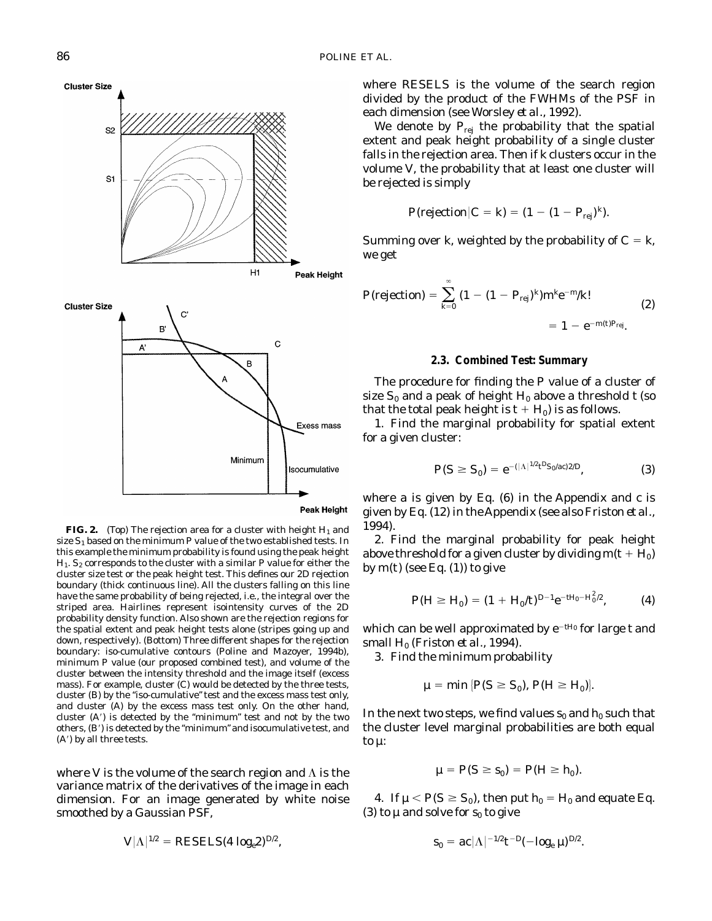

**Peak Height** 

**FIG. 2.** (Top) The rejection area for a cluster with height  $H_1$  and size *S*<sup>1</sup> based on the minimum *P* value of the two established tests. In this example the minimum probability is found using the peak height *H*1. *S*<sup>2</sup> corresponds to the cluster with a similar *P* value for either the cluster size test or the peak height test. This defines our 2D rejection boundary (thick continuous line). All the clusters falling on this line have the same probability of being rejected, i.e., the integral over the striped area. Hairlines represent isointensity curves of the 2D probability density function. Also shown are the rejection regions for the spatial extent and peak height tests alone (stripes going up and down, respectively). (Bottom) Three different shapes for the rejection boundary: iso-cumulative contours (Poline and Mazoyer, 1994b), minimum *P* value (our proposed combined test), and volume of the cluster between the intensity threshold and the image itself (excess mass). For example, cluster (C) would be detected by the three tests, cluster (B) by the ''iso-cumulative'' test and the excess mass test only, and cluster (A) by the excess mass test only. On the other hand, cluster  $(A')$  is detected by the "minimum" test and not by the two others, (B') is detected by the "minimum" and isocumulative test, and  $(A')$  by all three tests.

where *V* is the volume of the search region and  $\Lambda$  is the variance matrix of the derivatives of the image in each dimension. For an image generated by white noise smoothed by a Gaussian PSF,

$$
V|\Lambda|^{1/2} = RESELS(4 \log_e 2)^{D/2},
$$

where RESELS is the volume of the search region divided by the product of the FWHMs of the PSF in each dimension (see Worsley *et al.,* 1992).

We denote by  $P_{\text{rej}}$  the probability that the spatial extent and peak height probability of a single cluster falls in the rejection area. Then if *k* clusters occur in the volume *V*, the probability that at least one cluster will be rejected is simply

$$
P(\text{rejection} | C = k) = (1 - (1 - P_{\text{rej}})^k).
$$

Summing over *k*, weighted by the probability of  $C = k$ , we get

$$
P(\text{rejection}) = \sum_{k=0}^{\infty} (1 - (1 - P_{\text{rej}})^k) m^k e^{-m/k!}
$$
\n
$$
= 1 - e^{-m(t)P_{\text{rej}}}.
$$
\n(2)

# **2.3. Combined Test: Summary**

The procedure for finding the *P* value of a cluster of size  $S_0$  and a peak of height  $H_0$  above a threshold  $t$  (so that the total peak height is  $t + H_0$ ) is as follows.

1. Find the marginal probability for spatial extent for a given cluster:

$$
P(S \ge S_0) = e^{-(|\Lambda|^{1/2}t^D S_0/a c/2/D}, \tag{3}
$$

where *a* is given by Eq. (6) in the Appendix and *c* is given by Eq. (12) in the Appendix (see also Friston *et al.,* 1994).

2. Find the marginal probability for peak height above threshold for a given cluster by dividing  $m(t + H_0)$ by  $m(t)$  (see Eq. (1)) to give

$$
P(H \ge H_0) = (1 + H_0/t)^{D-1}e^{-tH_0 - H_0^2/2}, \tag{4}
$$

which can be well approximated by  $e^{-tH_0}$  for large *t* and small *H*<sup>0</sup> (Friston *et al.,* 1994).

3. Find the minimum probability

$$
\mu=\min\{P(S\geq S_0),\,P(H\geq H_0)\}.
$$

In the next two steps, we find values  $s_0$  and  $h_0$  such that the cluster level marginal probabilities are both equal to µ:

$$
\mu = P(S \geq s_0) = P(H \geq h_0).
$$

4. If  $\mu$  <  $P(S \ge S_0)$ , then put  $h_0 = H_0$  and equate Eq. (3) to  $\mu$  and solve for  $s_0$  to give

$$
s_0 = ac|\Lambda|^{-1/2}t^{-D}(-\log_e \mu)^{D/2}.
$$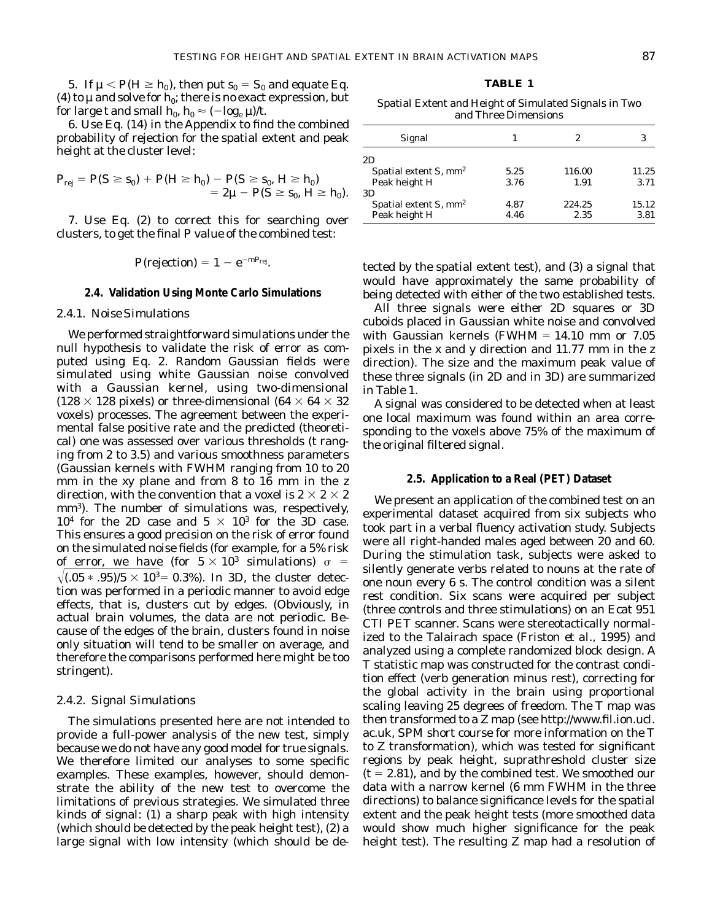#### **TABLE 1**

5. If  $\mu$  < *P*(*H*  $\ge$  *h*<sub>0</sub>), then put *s*<sub>0</sub> = *S*<sub>0</sub> and equate Eq. (4) to  $\mu$  and solve for  $h_0$ ; there is no exact expression, but for large *t* and small  $h_0$ ,  $h_0 \approx (-\log_e \mu)/t$ .

6. Use Eq. (14) in the Appendix to find the combined probability of rejection for the spatial extent and peak height at the cluster level:

$$
P_{\text{rej}} = P(S \geq s_0) + P(H \geq h_0) - P(S \geq s_0, H \geq h_0)
$$
  
= 2\mu - P(S \geq s\_0, H \geq h\_0).

7. Use Eq. (2) to correct this for searching over clusters, to get the final *P* value of the combined test:

$$
P(\text{rejection}) = 1 - e^{-mP_{\text{rej}}}.
$$

### **2.4. Validation Using Monte Carlo Simulations**

#### *2.4.1. Noise Simulations*

We performed straightforward simulations under the null hypothesis to validate the risk of error as computed using Eq. 2. Random Gaussian fields were simulated using white Gaussian noise convolved with a Gaussian kernel, using two-dimensional (128  $\times$  128 pixels) or three-dimensional (64  $\times$  64  $\times$  32 voxels) processes. The agreement between the experimental false positive rate and the predicted (theoretical) one was assessed over various thresholds (*t* ranging from 2 to 3.5) and various smoothness parameters (Gaussian kernels with FWHM ranging from 10 to 20 mm in the *xy* plane and from 8 to 16 mm in the *z* direction, with the convention that a voxel is  $2 \times 2 \times 2$ mm<sup>3</sup>). The number of simulations was, respectively,  $10^4$  for the 2D case and  $5 \times 10^3$  for the 3D case. This ensures a good precision on the risk of error found on the simulated noise fields (for example, for a 5% risk of error, we have (for  $5 \times 10^3$  simulations)  $\sigma =$  $\sqrt{(0.05 * 0.95)}$ /5  $\times$  10<sup>3</sup> = 0.3%). In 3D, the cluster detection was performed in a periodic manner to avoid edge effects, that is, clusters cut by edges. (Obviously, in actual brain volumes, the data are not periodic. Because of the edges of the brain, clusters found in noise only situation will tend to be smaller on average, and therefore the comparisons performed here might be too stringent).

# *2.4.2. Signal Simulations*

The simulations presented here are not intended to provide a full-power analysis of the new test, simply because we do not have any good model for true signals. We therefore limited our analyses to some specific examples. These examples, however, should demonstrate the ability of the new test to overcome the limitations of previous strategies. We simulated three kinds of signal: (1) a sharp peak with high intensity (which should be detected by the peak height test), (2) a large signal with low intensity (which should be de-

Spatial Extent and Height of Simulated Signals in Two and Three Dimensions

| Signal                                                                       |      | 2.     | 3     |  |
|------------------------------------------------------------------------------|------|--------|-------|--|
| 2D                                                                           |      |        |       |  |
|                                                                              | 5.25 | 116.00 | 11.25 |  |
| Peak height H                                                                | 3.76 | 1.91   | 3.71  |  |
| 3D                                                                           |      |        |       |  |
|                                                                              | 4.87 | 224.25 | 15.12 |  |
| Peak height H                                                                | 4.46 | 2.35   | 3.81  |  |
| Spatial extent $S$ , mm <sup>2</sup><br>Spatial extent $S$ , mm <sup>2</sup> |      |        |       |  |

tected by the spatial extent test), and (3) a signal that would have approximately the same probability of being detected with either of the two established tests.

All three signals were either 2D squares or 3D cuboids placed in Gaussian white noise and convolved with Gaussian kernels (FWHM  $= 14.10$  mm or 7.05 pixels in the *x* and *y* direction and 11.77 mm in the *z* direction). The size and the maximum peak value of these three signals (in 2D and in 3D) are summarized in Table 1.

A signal was considered to be detected when at least one local maximum was found within an area corresponding to the voxels above 75% of the maximum of the original filtered signal.

### **2.5. Application to a Real (PET) Dataset**

We present an application of the combined test on an experimental dataset acquired from six subjects who took part in a verbal fluency activation study. Subjects were all right-handed males aged between 20 and 60. During the stimulation task, subjects were asked to silently generate verbs related to nouns at the rate of one noun every 6 s. The control condition was a silent rest condition. Six scans were acquired per subject (three controls and three stimulations) on an Ecat 951 CTI PET scanner. Scans were stereotactically normalized to the Talairach space (Friston *et al.,* 1995) and analyzed using a complete randomized block design. A *T* statistic map was constructed for the contrast condition effect (verb generation minus rest), correcting for the global activity in the brain using proportional scaling leaving 25 degrees of freedom. The *T* map was then transformed to a *Z* map (see http://www.fil.ion.ucl. ac.uk, SPM short course for more information on the *T* to *Z* transformation), which was tested for significant regions by peak height, suprathreshold cluster size  $(t = 2.81)$ , and by the combined test. We smoothed our data with a narrow kernel (6 mm FWHM in the three directions) to balance significance levels for the spatial extent and the peak height tests (more smoothed data would show much higher significance for the peak height test). The resulting *Z* map had a resolution of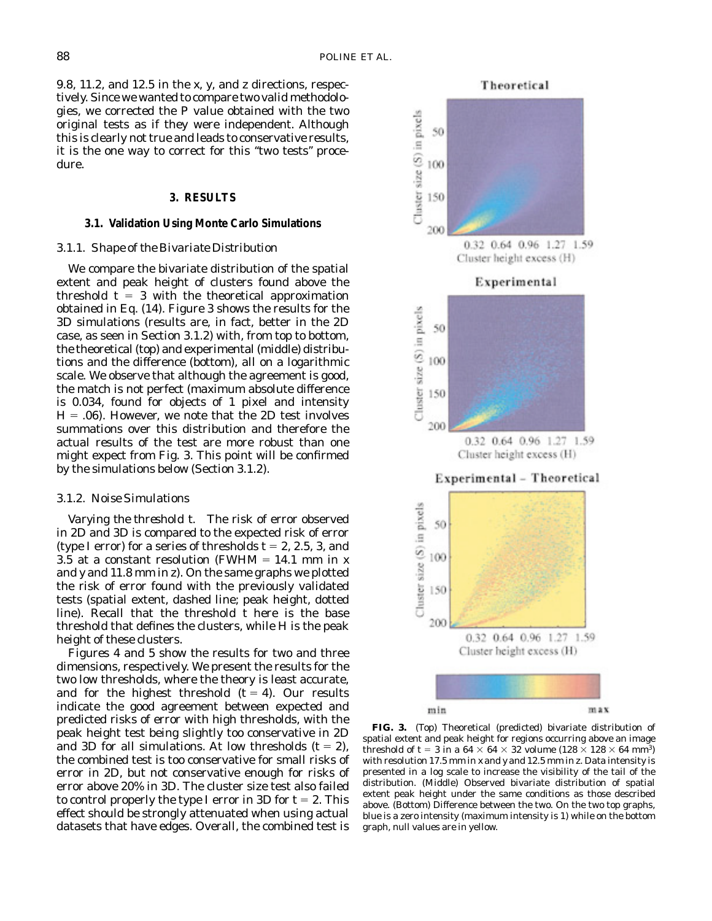9.8, 11.2, and 12.5 in the *x*, *y*, and *z* directions, respectively. Since we wanted to compare two valid methodologies, we corrected the *P* value obtained with the two original tests as if they were independent. Although this is clearly not true and leads to conservative results, it is the one way to correct for this ''two tests'' procedure.

# **3. RESULTS**

### **3.1. Validation Using Monte Carlo Simulations**

# *3.1.1. Shape of the Bivariate Distribution*

We compare the bivariate distribution of the spatial extent and peak height of clusters found above the threshold  $t = 3$  with the theoretical approximation obtained in Eq. (14). Figure 3 shows the results for the 3D simulations (results are, in fact, better in the 2D case, as seen in Section 3.1.2) with, from top to bottom, the theoretical (top) and experimental (middle) distributions and the difference (bottom), all on a logarithmic scale. We observe that although the agreement is good, the match is not perfect (maximum absolute difference is 0.034, found for objects of 1 pixel and intensity  $H = .06$ ). However, we note that the 2D test involves summations over this distribution and therefore the actual results of the test are more robust than one might expect from Fig. 3. This point will be confirmed by the simulations below (Section 3.1.2).

# *3.1.2. Noise Simulations*

*Varying the threshold t.* The risk of error observed in 2D and 3D is compared to the expected risk of error (type I error) for a series of thresholds  $t = 2, 2.5, 3$ , and 3.5 at a constant resolution (FWHM  $= 14.1$  mm in *x* and *y* and 11.8 mm in *z*). On the same graphs we plotted the risk of error found with the previously validated tests (spatial extent, dashed line; peak height, dotted line). Recall that the threshold *t* here is the base threshold that defines the clusters, while *H* is the peak height of these clusters.

Figures 4 and 5 show the results for two and three dimensions, respectively. We present the results for the two low thresholds, where the theory is least accurate, and for the highest threshold  $(t = 4)$ . Our results indicate the good agreement between expected and predicted risks of error with high thresholds, with the peak height test being slightly too conservative in 2D and 3D for all simulations. At low thresholds  $(t = 2)$ , the combined test is too conservative for small risks of error in 2D, but not conservative enough for risks of error above 20% in 3D. The cluster size test also failed to control properly the type I error in 3D for  $t = 2$ . This effect should be strongly attenuated when using actual datasets that have edges. Overall, the combined test is



**FIG. 3.** (Top) Theoretical (predicted) bivariate distribution of spatial extent and peak height for regions occurring above an image threshold of  $t = 3$  in a  $64 \times 64 \times 32$  volume (128  $\times$  128  $\times$  64 mm<sup>3</sup>) with resolution 17.5 mm in *x* and *y* and 12.5 mm in *z*. Data intensity is presented in a log scale to increase the visibility of the tail of the distribution. (Middle) Observed bivariate distribution of spatial extent peak height under the same conditions as those described above. (Bottom) Difference between the two. On the two top graphs, blue is a zero intensity (maximum intensity is 1) while on the bottom graph, null values are in yellow.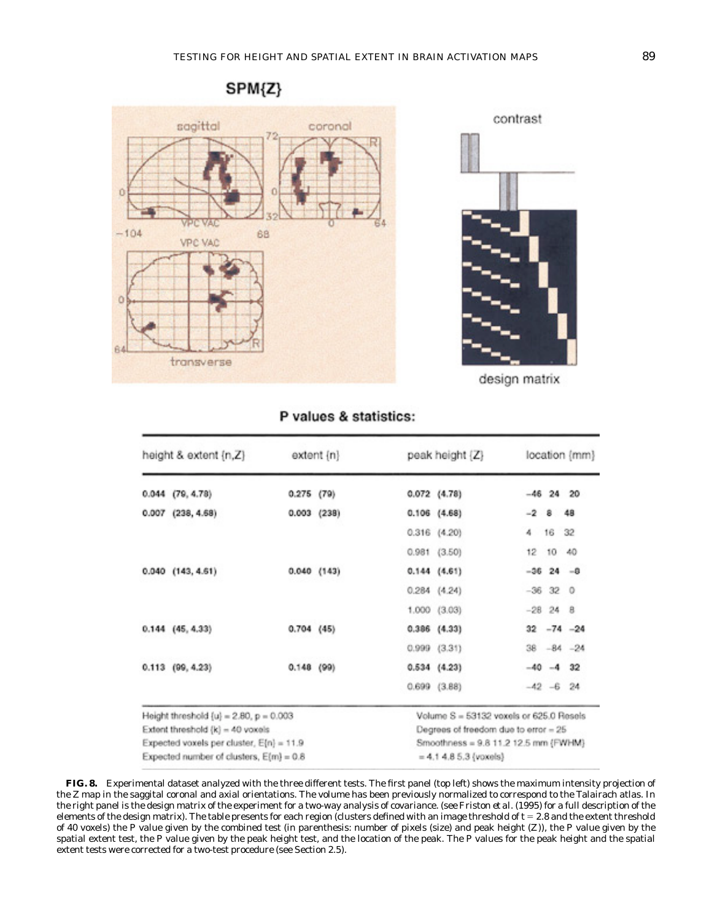



design matrix

|                                            | height & extent {n,Z}                      |                | extent {n}                           |  | peak height {Z}                         |                 |               | location (mm)  |
|--------------------------------------------|--------------------------------------------|----------------|--------------------------------------|--|-----------------------------------------|-----------------|---------------|----------------|
|                                            | $0.044$ $(79, 4.78)$                       | $0.275$ (79)   |                                      |  | 0.072(4.78)                             |                 | $-46$ 24 20   |                |
| $0.007$ $(238, 4.68)$                      |                                            | $0.003$ (238)  |                                      |  | $0.106$ $(4.68)$                        | $-2$            | 8             | 48             |
|                                            |                                            |                |                                      |  | $0.316$ $(4.20)$                        | 4 16            |               | 32             |
|                                            |                                            |                |                                      |  | $0.981$ $(3.50)$                        | 12 <sup>2</sup> | 10            | -40            |
| $0.040$ $(143, 4.61)$                      |                                            |                | 0.040(143)                           |  | 0.144(4.61)                             |                 | $-36$ 24 $-8$ |                |
|                                            |                                            |                |                                      |  | 0.284(4.24)                             |                 | $-36$ 32      | $\circ$        |
|                                            |                                            |                |                                      |  | 1.000 (3.03)                            |                 | $-28$ 24 8    |                |
|                                            | $0.144$ $(45, 4.33)$                       | $0.704$ $(45)$ |                                      |  | $0.386$ $(4.33)$                        |                 |               | $32 - 74 - 24$ |
|                                            |                                            |                |                                      |  | 0.999(3.31)                             |                 |               | $38 - 84 - 24$ |
|                                            | $0.113$ (99, 4.23)                         | $0.148$ (99)   |                                      |  | 0.534(4.23)                             |                 | $-40$ $-4$ 32 |                |
|                                            |                                            |                |                                      |  | $0.699$ $(3.88)$                        |                 | $-42 - 6$ 24  |                |
|                                            | Height threshold $\{u\} = 2.80, p = 0.003$ |                |                                      |  | Volume S = 53132 voxels or 625.0 Resels |                 |               |                |
| Extent threshold $(k) = 40$ voxels         |                                            |                | Degrees of freedom due to error = 25 |  |                                         |                 |               |                |
| Expected voxels per cluster, $E[n] = 11.9$ |                                            |                | Smoothness = 9.8 11.2 12.5 mm {FWHM} |  |                                         |                 |               |                |
| Expected number of clusters, E(m) = 0.8    |                                            |                | $= 4.1 4.8 5.3$ (voxels)             |  |                                         |                 |               |                |

# P values & statistics:

**FIG. 8.** Experimental dataset analyzed with the three different tests. The first panel (top left) shows the maximum intensity projection of the *Z* map in the saggital coronal and axial orientations. The volume has been previously normalized to correspond to the Talairach atlas. In the right panel is the design matrix of the experiment for a two-way analysis of covariance. (see Friston *et al.* (1995) for a full description of the elements of the design matrix). The table presents for each region (clusters defined with an image threshold of  $t = 2.8$  and the extent threshold of 40 voxels) the *P* value given by the combined test (in parenthesis: number of pixels (size) and peak height (*Z*)), the *P* value given by the spatial extent test, the *P* value given by the peak height test, and the location of the peak. The *P* values for the peak height and the spatial extent tests were corrected for a two-test procedure (see Section 2.5).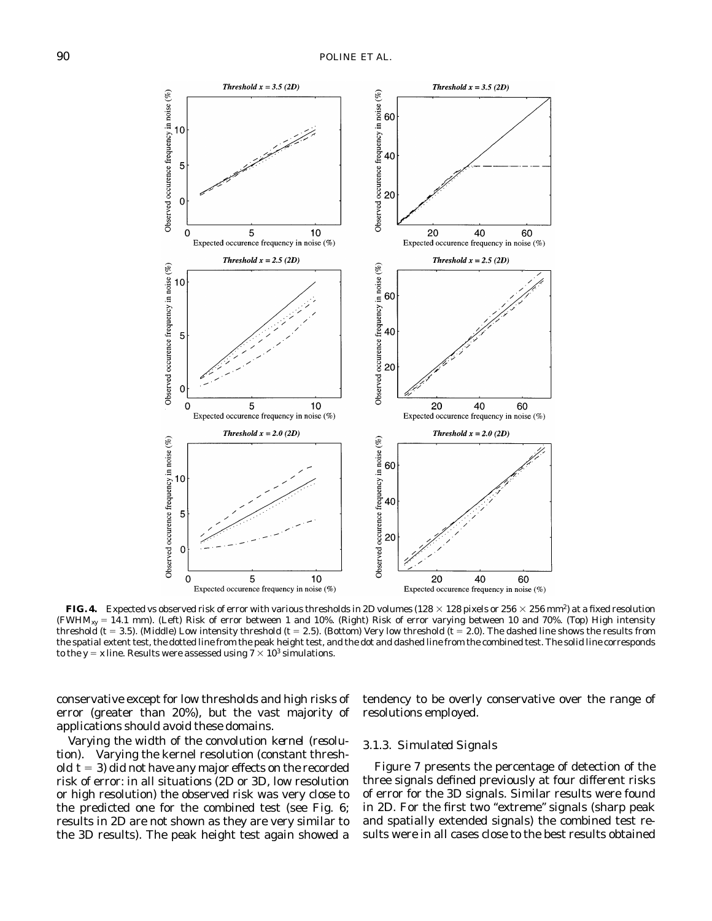

**FIG. 4.** Expected vs observed risk of error with various thresholds in 2D volumes (128  $\times$  128 pixels or 256  $\times$  256 mm<sup>2</sup>) at a fixed resolution (FWHM<sub>xy</sub> = 14.1 mm). (Left) Risk of error between 1 and 10%. (Right) Risk of error varying between 10 and 70%. (Top) High intensity threshold  $(t = 3.5)$ . (Middle) Low intensity threshold  $(t = 2.5)$ . (Bottom) Very low threshold  $(t = 2.0)$ . The dashed line shows the results from the spatial extent test, the dotted line from the peak height test, and the dot and dashed line from the combined test. The solid line corresponds to the  $y = x$  line. Results were assessed using  $7 \times 10^3$  simulations.

conservative except for low thresholds and high risks of error (greater than 20%), but the vast majority of applications should avoid these domains.

*Varying the width of the convolution kernel (resolution).* Varying the kernel resolution (constant threshold  $t = 3$ ) did not have any major effects on the recorded risk of error: in all situations (2D or 3D, low resolution or high resolution) the observed risk was very close to the predicted one for the combined test (see Fig. 6; results in 2D are not shown as they are very similar to the 3D results). The peak height test again showed a

tendency to be overly conservative over the range of resolutions employed.

# *3.1.3. Simulated Signals*

Figure 7 presents the percentage of detection of the three signals defined previously at four different risks of error for the 3D signals. Similar results were found in 2D. For the first two "extreme" signals (sharp peak and spatially extended signals) the combined test results were in all cases close to the best results obtained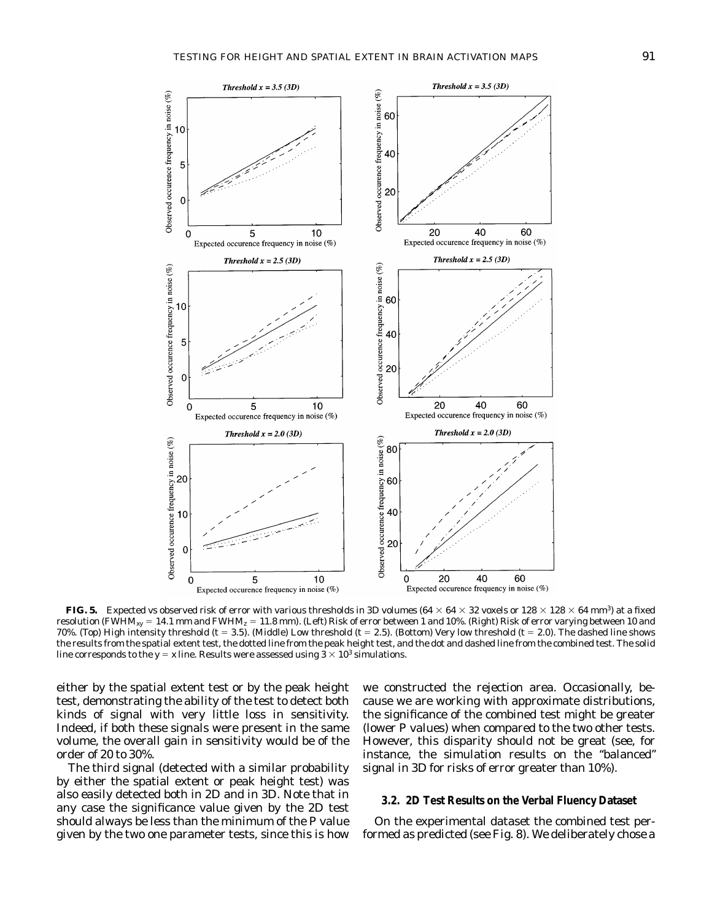

**FIG. 5.** Expected vs observed risk of error with various thresholds in 3D volumes ( $64 \times 64 \times 32$  voxels or  $128 \times 128 \times 64$  mm<sup>3</sup>) at a fixed resolution (FWHM<sub>xy</sub> = 14.1 mm and FWHM<sub>z</sub> = 11.8 mm). (Left) Risk of error between 1 and 10%. (Right) Risk of error varying between 10 and 70%. (Top) High intensity threshold  $(t = 3.5)$ . (Middle) Low threshold  $(t = 2.5)$ . (Bottom) Very low threshold  $(t = 2.0)$ . The dashed line shows the results from the spatial extent test, the dotted line from the peak height test, and the dot and dashed line from the combined test. The solid line corresponds to the  $y = x$  line. Results were assessed using  $3 \times 10^3$  simulations.

either by the spatial extent test or by the peak height test, demonstrating the ability of the test to detect both kinds of signal with very little loss in sensitivity. Indeed, if both these signals were present in the same volume, the overall gain in sensitivity would be of the order of 20 to 30%.

The third signal (detected with a similar probability by either the spatial extent or peak height test) was also easily detected both in 2D and in 3D. Note that in any case the significance value given by the 2D test should always be less than the minimum of the *P* value given by the two one parameter tests, since this is how

we constructed the rejection area. Occasionally, because we are working with approximate distributions, the significance of the combined test might be greater (lower *P* values) when compared to the two other tests. However, this disparity should not be great (see, for instance, the simulation results on the ''balanced'' signal in 3D for risks of error greater than 10%).

### **3.2. 2D Test Results on the Verbal Fluency Dataset**

On the experimental dataset the combined test performed as predicted (see Fig. 8). We deliberately chose a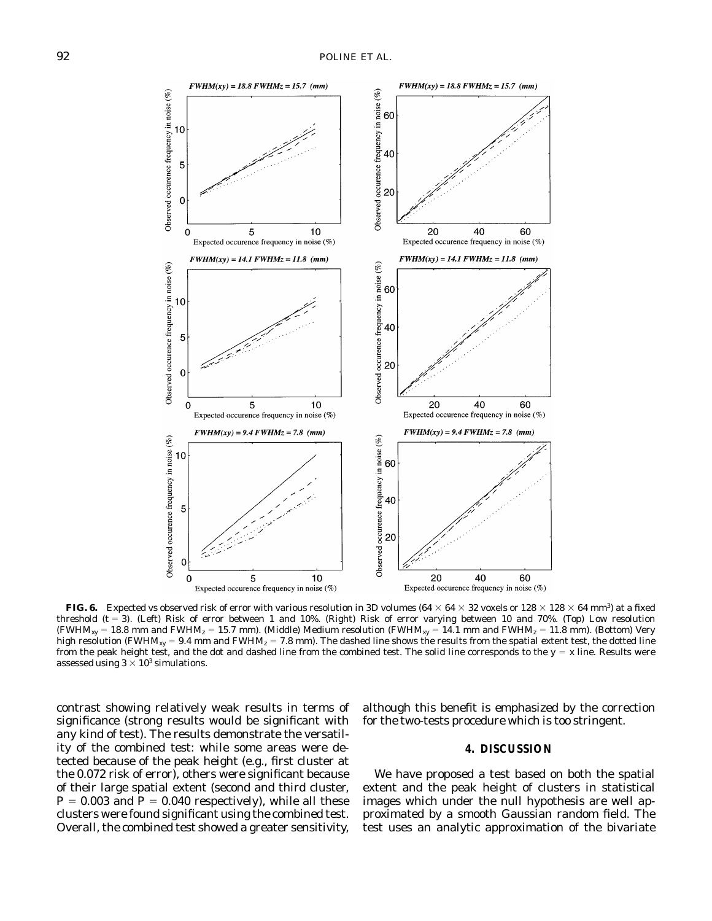

FIG. 6. Expected vs observed risk of error with various resolution in 3D volumes ( $64 \times 64 \times 32$  voxels or  $128 \times 128 \times 64$  mm<sup>3</sup>) at a fixed threshold (*t* 5 3). (Left) Risk of error between 1 and 10%. (Right) Risk of error varying between 10 and 70%. (Top) Low resolution (FWHM<sub>*xy*</sub> = 18.8 mm and FWHM<sub>z</sub> = 15.7 mm). (Middle) Medium resolution (FWHM<sub>*xy*</sub> = 14.1 mm and FWHM<sub>z</sub> = 11.8 mm). (Bottom) Very high resolution (FWHM<sub>*xy*</sub> = 9.4 mm and FWHM<sub>z</sub> = 7.8 mm). The dashed line shows the results from the spatial extent test, the dotted line from the peak height test, and the dot and dashed line from the combined test. The solid line corresponds to the  $y = x$  line. Results were assessed using  $3 \times 10^3$  simulations.

contrast showing relatively weak results in terms of significance (strong results would be significant with any kind of test). The results demonstrate the versatility of the combined test: while some areas were detected because of the peak height (e.g., first cluster at the 0.072 risk of error), others were significant because of their large spatial extent (second and third cluster,  $P = 0.003$  and  $P = 0.040$  respectively), while all these clusters were found significant using the combined test. Overall, the combined test showed a greater sensitivity,

although this benefit is emphasized by the correction for the two-tests procedure which is too stringent.

#### **4. DISCUSSION**

We have proposed a test based on both the spatial extent and the peak height of clusters in statistical images which under the null hypothesis are well approximated by a smooth Gaussian random field. The test uses an analytic approximation of the bivariate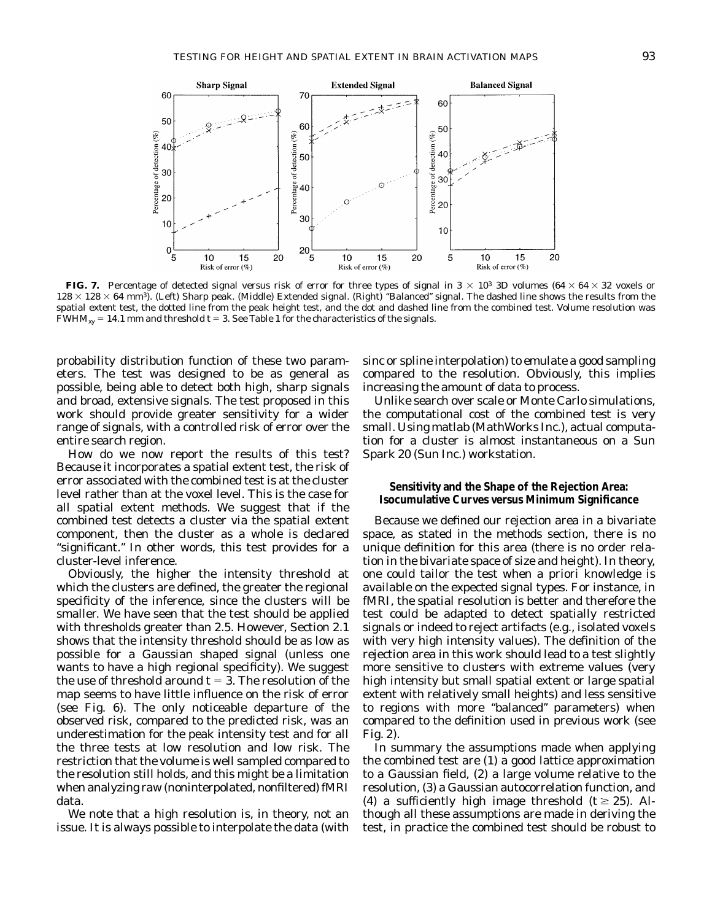

**FIG. 7.** Percentage of detected signal versus risk of error for three types of signal in  $3 \times 10^3$  3D volumes  $(64 \times 64 \times 32)$  voxels or  $128 \times 128 \times 64$  mm<sup>3</sup>). (Left) Sharp peak. (Middle) Extended signal. (Right) "Balanced" signal. The dashed line shows the results from the spatial extent test, the dotted line from the peak height test, and the dot and dashed line from the combined test. Volume resolution was FWHM<sub>*xy*</sub> = 14.1 mm and threshold  $t = 3$ . See Table 1 for the characteristics of the signals.

probability distribution function of these two parameters. The test was designed to be as general as possible, being able to detect both high, sharp signals and broad, extensive signals. The test proposed in this work should provide greater sensitivity for a wider range of signals, with a controlled risk of error over the entire search region.

How do we now report the results of this test? Because it incorporates a spatial extent test, the risk of error associated with the combined test is at the cluster level rather than at the voxel level. This is the case for all spatial extent methods. We suggest that if the combined test detects a cluster via the spatial extent component, then the cluster as a whole is declared "significant." In other words, this test provides for a cluster-level inference.

Obviously, the higher the intensity threshold at which the clusters are defined, the greater the regional specificity of the inference, since the clusters will be smaller. We have seen that the test should be applied with thresholds greater than 2.5. However, Section 2.1 shows that the intensity threshold should be as low as possible for a Gaussian shaped signal (unless one wants to have a high regional specificity). We suggest the use of threshold around  $t = 3$ . The resolution of the map seems to have little influence on the risk of error (see Fig. 6). The only noticeable departure of the observed risk, compared to the predicted risk, was an underestimation for the peak intensity test and for all the three tests at low resolution and low risk. The restriction that the volume is well sampled compared to the resolution still holds, and this might be a limitation when analyzing raw (noninterpolated, nonfiltered) fMRI data.

We note that a high resolution is, in theory, not an issue. It is always possible to interpolate the data (with sinc or spline interpolation) to emulate a good sampling compared to the resolution. Obviously, this implies increasing the amount of data to process.

Unlike search over scale or Monte Carlo simulations, the computational cost of the combined test is very small. Using matlab (MathWorks Inc.), actual computation for a cluster is almost instantaneous on a Sun Spark 20 (Sun Inc.) workstation.

# **Sensitivity and the Shape of the Rejection Area: Isocumulative Curves versus Minimum Significance**

Because we defined our rejection area in a bivariate space, as stated in the methods section, there is no unique definition for this area (there is no order relation in the bivariate space of size and height). In theory, one could tailor the test when a priori knowledge is available on the expected signal types. For instance, in fMRI, the spatial resolution is better and therefore the test could be adapted to detect spatially restricted signals or indeed to reject artifacts (e.g., isolated voxels with very high intensity values). The definition of the rejection area in this work should lead to a test slightly more sensitive to clusters with extreme values (very high intensity but small spatial extent or large spatial extent with relatively small heights) and less sensitive to regions with more ''balanced'' parameters) when compared to the definition used in previous work (see Fig. 2).

In summary the assumptions made when applying the combined test are (1) a good lattice approximation to a Gaussian field, (2) a large volume relative to the resolution, (3) a Gaussian autocorrelation function, and (4) a sufficiently high image threshold  $(t \ge 25)$ . Although all these assumptions are made in deriving the test, in practice the combined test should be robust to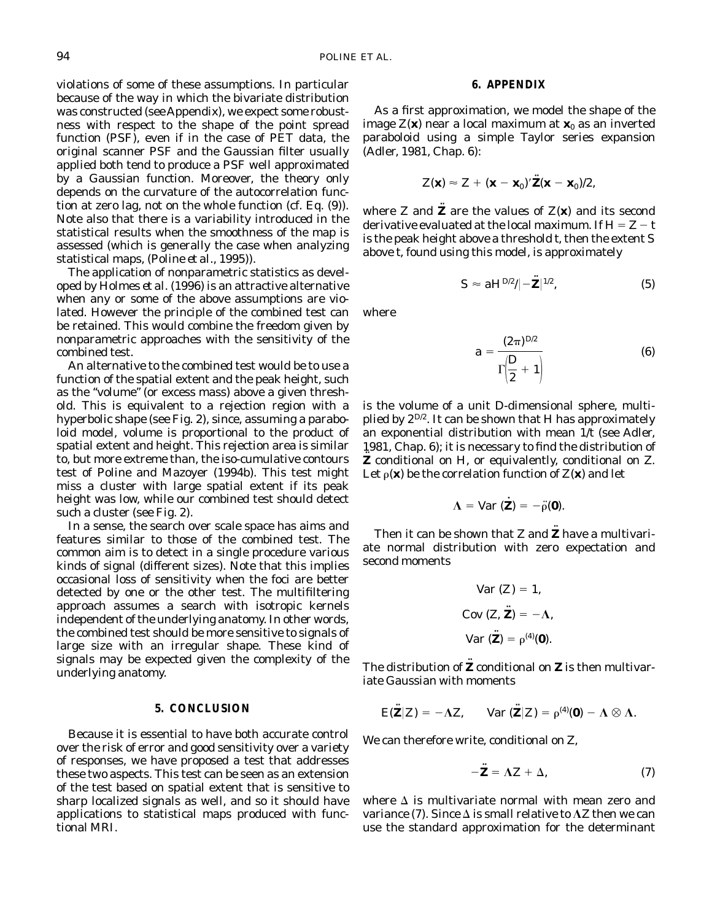violations of some of these assumptions. In particular because of the way in which the bivariate distribution was constructed (see Appendix), we expect some robustness with respect to the shape of the point spread function (PSF), even if in the case of PET data, the original scanner PSF and the Gaussian filter usually applied both tend to produce a PSF well approximated by a Gaussian function. Moreover, the theory only depends on the curvature of the autocorrelation function at zero lag, not on the whole function (cf. Eq. (9)). Note also that there is a variability introduced in the statistical results when the smoothness of the map is assessed (which is generally the case when analyzing statistical maps, (Poline *et al.,* 1995)).

The application of nonparametric statistics as developed by Holmes *et al.* (1996) is an attractive alternative when any or some of the above assumptions are violated. However the principle of the combined test can be retained. This would combine the freedom given by nonparametric approaches with the sensitivity of the combined test.

An alternative to the combined test would be to use a function of the spatial extent and the peak height, such as the ''volume'' (or excess mass) above a given threshold. This is equivalent to a rejection region with a hyperbolic shape (see Fig. 2), since, assuming a paraboloid model, volume is proportional to the product of spatial extent and height. This rejection area is similar to, but more extreme than, the iso-cumulative contours test of Poline and Mazoyer (1994b). This test might miss a cluster with large spatial extent if its peak height was low, while our combined test should detect such a cluster (see Fig. 2).

In a sense, the search over scale space has aims and features similar to those of the combined test. The common aim is to detect in a single procedure various kinds of signal (different sizes). Note that this implies occasional loss of sensitivity when the foci are better detected by one or the other test. The multifiltering approach assumes a search with isotropic kernels independent of the underlying anatomy. In other words, the combined test should be more sensitive to signals of large size with an irregular shape. These kind of signals may be expected given the complexity of the underlying anatomy.

# **5. CONCLUSION**

Because it is essential to have both accurate control over the risk of error and good sensitivity over a variety of responses, we have proposed a test that addresses these two aspects. This test can be seen as an extension of the test based on spatial extent that is sensitive to sharp localized signals as well, and so it should have applications to statistical maps produced with functional MRI.

## **6. APPENDIX**

As a first approximation, we model the shape of the image  $Z(\mathbf{x})$  near a local maximum at  $\mathbf{x}_0$  as an inverted paraboloid using a simple Taylor series expansion (Adler, 1981, Chap. 6):

$$
Z(\mathbf{x}) \approx Z + (\mathbf{x} - \mathbf{x}_0)' \ddot{\mathbf{Z}} (\mathbf{x} - \mathbf{x}_0) / 2,
$$

where *Z* and  $\ddot{Z}$  are the values of  $Z(\mathbf{x})$  and its second derivative evaluated at the local maximum. If  $H = Z - t$ is the peak height above a threshold *t*, then the extent *S* above *t*, found using this model, is approximately

$$
S \approx aH^{D/2}/|\mathbf{-\ddot{Z}}|^{1/2},\tag{5}
$$

where

$$
a = \frac{(2\pi)^{D/2}}{\Gamma\left(\frac{D}{2} + 1\right)}\tag{6}
$$

is the volume of a unit *D*-dimensional sphere, multiplied by 2*<sup>D</sup>*/2. It can be shown that *H* has approximately an exponential distribution with mean 1/*t* (see Adler, 1981, Chap. 6); it is necessary to find the distribution of **Z¨** conditional on *H*, or equivalently, conditional on *Z*. Let  $\rho(\mathbf{x})$  be the correlation function of  $Z(\mathbf{x})$  and let

$$
\Lambda = \text{Var}(\dot{\mathbf{Z}}) = -\ddot{\rho}(\mathbf{0}).
$$

Then it can be shown that *Z* and **Z¨** have a multivariate normal distribution with zero expectation and second moments

Var (Z) = 1,  
Cov (Z, 
$$
\ddot{Z}
$$
) = - $\Lambda$ ,  
Var ( $\ddot{Z}$ ) =  $\rho$ <sup>(4)</sup>(0).

The distribution of **Z¨** conditional on **Z** is then multivariate Gaussian with moments

$$
E(\ddot{\mathbf{Z}}|Z) = -\Lambda Z, \quad \text{Var}(\ddot{\mathbf{Z}}|Z) = \rho^{(4)}(0) - \Lambda \otimes \Lambda.
$$

We can therefore write, conditional on *Z*,

$$
-\ddot{\mathbf{Z}} = \Lambda Z + \Delta,\tag{7}
$$

where  $\Delta$  is multivariate normal with mean zero and variance (7). Since  $\Delta$  is small relative to  $\Lambda Z$  then we can use the standard approximation for the determinant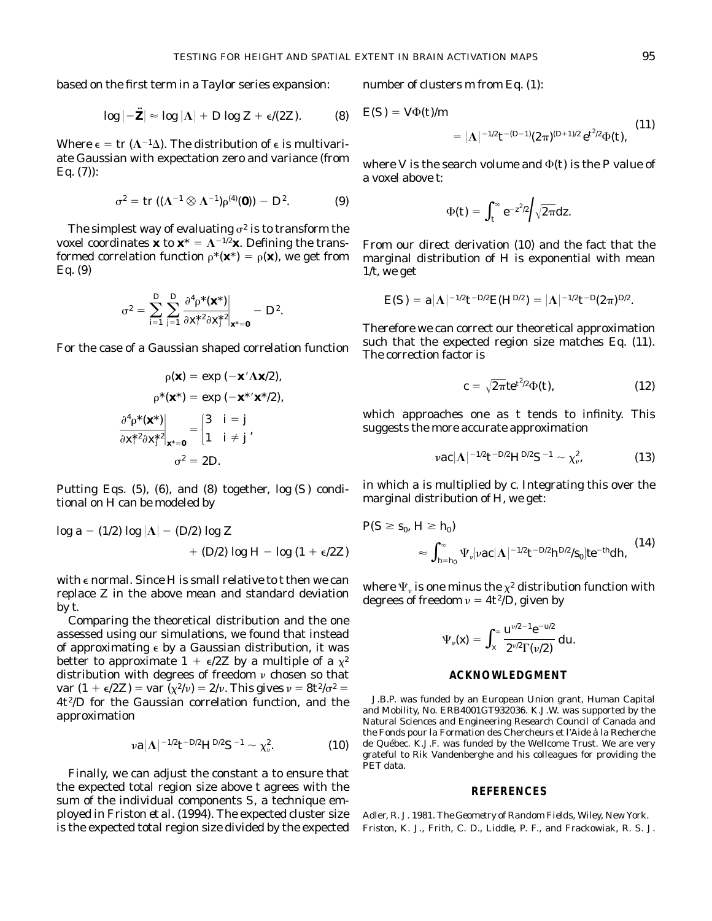based on the first term in a Taylor series expansion:

$$
\log|\mathbf{-\ddot{Z}}|\approx \log|\Lambda|+D\log Z+\epsilon/(2Z). \hspace{1cm} (8)
$$

Where  $\epsilon = \text{tr} (\Lambda^{-1} \Delta)$ . The distribution of  $\epsilon$  is multivariate Gaussian with expectation zero and variance (from Eq.  $(7)$ :

$$
\sigma^2 = \operatorname{tr} ((\Lambda^{-1} \otimes \Lambda^{-1}) \rho^{(4)}(\mathbf{0})) - D^2. \tag{9}
$$

The simplest way of evaluating  $\sigma^2$  is to transform the voxel coordinates **x** to  $\mathbf{x}^* = \Lambda^{-1/2}\mathbf{x}$ . Defining the transformed correlation function  $\rho^*(\mathbf{x}^*) = \rho(\mathbf{x})$ , we get from Eq. (9)

$$
\sigma^2 = \sum_{i=1}^D \sum_{j=1}^D \frac{\partial^4 \rho^*(\mathbf{x}^*)}{\partial x_i^{*2} \partial x_j^{*2}}\bigg|_{\mathbf{x}^* = \mathbf{0}} - D^2.
$$

For the case of a Gaussian shaped correlation function

$$
\rho(\mathbf{x}) = \exp(-\mathbf{x}' \Lambda \mathbf{x}/2),
$$

$$
\rho^*(\mathbf{x}^*) = \exp(-\mathbf{x}^* \prime \mathbf{x}^*/2),
$$

$$
\frac{\partial^4 \rho^*(\mathbf{x}^*)}{\partial x_i^*^2 \partial x_j^*^2}\bigg|_{\mathbf{x}^* = \mathbf{0}} = \begin{cases} 3 & i = j \\ 1 & i \neq j \end{cases},
$$

$$
\sigma^2 = 2D.
$$

Putting Eqs. (5), (6), and (8) together, log (*S*) conditional on *H* can be modeled by

$$
\log a - (1/2) \log |\Lambda| - (D/2) \log Z
$$
  
+ (D/2) \log H - \log (1 + \epsilon/2Z)

with e normal. Since *H* is small relative to *t* then we can replace *Z* in the above mean and standard deviation by *t*.

Comparing the theoretical distribution and the one assessed using our simulations, we found that instead of approximating  $\epsilon$  by a Gaussian distribution, it was better to approximate  $1 + \epsilon/2Z$  by a multiple of a  $\chi^2$ distribution with degrees of freedom  $\nu$  chosen so that var  $(1 + \epsilon/2Z) = \text{var}(\chi^2/\nu) = 2/\nu$ . This gives  $\nu = 8t^2/\sigma^2 =$  $4t^2/D$  for the Gaussian correlation function, and the approximation

$$
\nu a |\Lambda|^{-1/2} t^{-D/2} H^{D/2} S^{-1} \sim \chi^2_{\nu}.
$$
 (10)

Finally, we can adjust the constant *a* to ensure that the expected total region size above *t* agrees with the sum of the individual components *S*, a technique employed in Friston *et al.* (1994). The expected cluster size is the expected total region size divided by the expected number of clusters *m* from Eq. (1):

$$
E(S) = V\Phi(t)/m
$$
  
=  $|\Lambda|^{-1/2}t^{-(D-1)}(2\pi)^{(D+1)/2}e^{t^2/2}\Phi(t),$  (11)

where *V* is the search volume and  $\Phi(t)$  is the *P* value of a voxel above *t*:

$$
\Phi(t)=\int_t^\infty e^{-z^2/2}\bigg/\sqrt{2\pi}\,dz.
$$

From our direct derivation (10) and the fact that the marginal distribution of *H* is exponential with mean  $1/t$ , we get

$$
E(S) = a|\Lambda|^{-1/2}t^{-D/2}E(H^{D/2}) = |\Lambda|^{-1/2}t^{-D}(2\pi)^{D/2}.
$$

Therefore we can correct our theoretical approximation such that the expected region size matches Eq. (11). The correction factor is

$$
c = \sqrt{2\pi}te^{t^2/2}\Phi(t),\qquad(12)
$$

which approaches one as *t* tends to infinity. This suggests the more accurate approximation

$$
vac|\Lambda|^{-1/2}t^{-D/2}H^{D/2}S^{-1}\sim \chi^2_{\nu}, \qquad (13)
$$

in which *a* is multiplied by *c*. Integrating this over the marginal distribution of *H*, we get:

$$
P(S \ge s_0, H \ge h_0)
$$
  
\n
$$
\approx \int_{h=h_0}^{\infty} \Psi_{\nu}[\nu ac|\Lambda|^{-1/2}t^{-D/2}h^{D/2}/s_0]te^{-th}dh,
$$
\n(14)

where  $\Psi_{\nu}$  is one minus the  $\chi^2$  distribution function with degrees of freedom  $v = 4t^2/D$ , given by

$$
\Psi_{\nu}(x)=\int_x^{\infty}\frac{u^{\nu/2-1}e^{-u/2}}{2^{\nu/2}\Gamma(\nu/2)}\ du.
$$

# **ACKNOWLEDGMENT**

J.B.P. was funded by an European Union grant, Human Capital and Mobility, No. ERB4001GT932036. K.J.W. was supported by the Natural Sciences and Engineering Research Council of Canada and the Fonds pour la Formation des Chercheurs et l'Aide à la Recherche de Québec. K.J.F. was funded by the Wellcome Trust. We are very grateful to Rik Vandenberghe and his colleagues for providing the PET data.

### **REFERENCES**

Adler, R. J. 1981. *The Geometry of Random Fields,* Wiley, New York. Friston, K. J., Frith, C. D., Liddle, P. F., and Frackowiak, R. S. J.